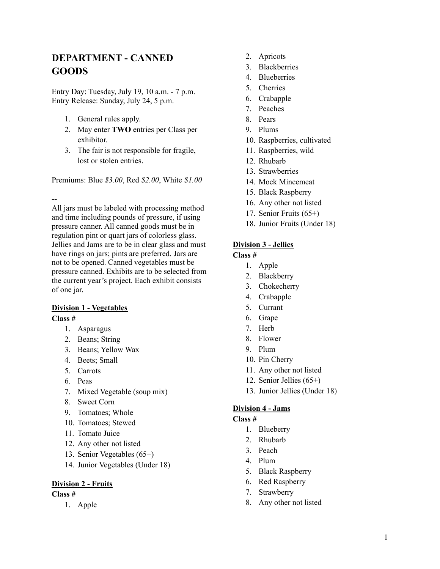# **DEPARTMENT - CANNED GOODS**

Entry Day: Tuesday, July 19, 10 a.m. - 7 p.m. Entry Release: Sunday, July 24, 5 p.m.

- 1. General rules apply.
- 2. May enter **TWO** entries per Class per exhibitor.
- 3. The fair is not responsible for fragile, lost or stolen entries.

Premiums: Blue *\$3.00*, Red *\$2.00*, White *\$1.00*

**--**

All jars must be labeled with processing method and time including pounds of pressure, if using pressure canner. All canned goods must be in regulation pint or quart jars of colorless glass. Jellies and Jams are to be in clear glass and must have rings on jars; pints are preferred. Jars are not to be opened. Canned vegetables must be pressure canned. Exhibits are to be selected from the current year's project. Each exhibit consists of one jar.

## **Division 1 - Vegetables**

**Class #**

- 1. Asparagus
- 2. Beans; String
- 3. Beans; Yellow Wax
- 4. Beets; Small
- 5. Carrots
- 6. Peas
- 7. Mixed Vegetable (soup mix)
- 8. Sweet Corn
- 9. Tomatoes; Whole
- 10. Tomatoes; Stewed
- 11. Tomato Juice
- 12. Any other not listed
- 13. Senior Vegetables (65+)
- 14. Junior Vegetables (Under 18)

### **Division 2 - Fruits**

**Class #**

1. Apple

- 2. Apricots
- 3. Blackberries
- 4. Blueberries
- 5. Cherries
- 6. Crabapple
- 7. Peaches
- 8. Pears
- 9. Plums
- 10. Raspberries, cultivated
- 11. Raspberries, wild
- 12. Rhubarb
- 13. Strawberries
- 14. Mock Mincemeat
- 15. Black Raspberry
- 16. Any other not listed
- 17. Senior Fruits (65+)
- 18. Junior Fruits (Under 18)

## **Division 3 - Jellies**

**Class #**

- 1. Apple
- 2. Blackberry
- 3. Chokecherry
- 4. Crabapple
- 5. Currant
- 6. Grape
- 7. Herb
- 8. Flower
- 9. Plum
- 10. Pin Cherry
- 11. Any other not listed
- 12. Senior Jellies (65+)
- 13. Junior Jellies (Under 18)

### **Division 4 - Jams**

#### **Class #**

- 1. Blueberry
- 2. Rhubarb
- 3. Peach
- 4. Plum
- 5. Black Raspberry
- 6. Red Raspberry
- 7. Strawberry
- 8. Any other not listed